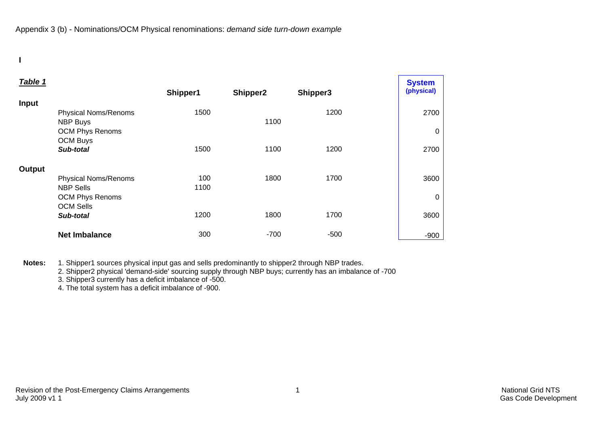**I** 

| Table 1 |                             |          |          |          | <b>System</b> |
|---------|-----------------------------|----------|----------|----------|---------------|
|         |                             | Shipper1 | Shipper2 | Shipper3 | (physical)    |
| Input   |                             |          |          |          |               |
|         | <b>Physical Noms/Renoms</b> | 1500     |          | 1200     | 2700          |
|         | <b>NBP Buys</b>             |          | 1100     |          |               |
|         | <b>OCM Phys Renoms</b>      |          |          |          | 0             |
|         | <b>OCM Buys</b>             |          |          |          |               |
|         | Sub-total                   | 1500     | 1100     | 1200     | 2700          |
| Output  |                             |          |          |          |               |
|         | <b>Physical Noms/Renoms</b> | 100      | 1800     | 1700     | 3600          |
|         | <b>NBP Sells</b>            | 1100     |          |          |               |
|         | <b>OCM Phys Renoms</b>      |          |          |          | 0             |
|         | <b>OCM Sells</b>            |          |          |          |               |
|         | Sub-total                   | 1200     | 1800     | 1700     | 3600          |
|         | <b>Net Imbalance</b>        | 300      | $-700$   | $-500$   | $-900$        |

**Notes:** 1. Shipper1 sources physical input gas and sells predominantly to shipper2 through NBP trades.

2. Shipper2 physical 'demand-side' sourcing supply through NBP buys; currently has an imbalance of -700

3. Shipper3 currently has a deficit imbalance of -500.

4. The total system has a deficit imbalance of -900.